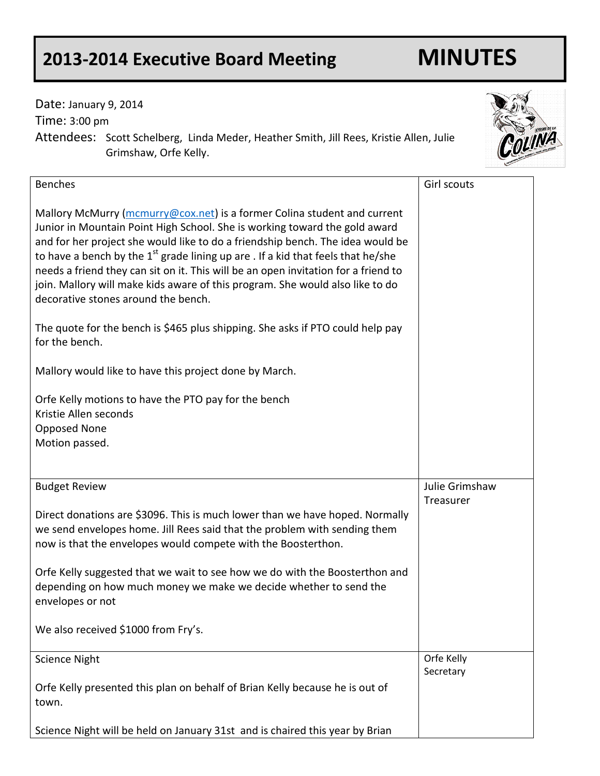## **2013-2014 Executive Board Meeting MINUTES**

Date: January 9, 2014

Time: 3:00 pm

Attendees: Scott Schelberg, Linda Meder, Heather Smith, Jill Rees, Kristie Allen, Julie Grimshaw, Orfe Kelly.

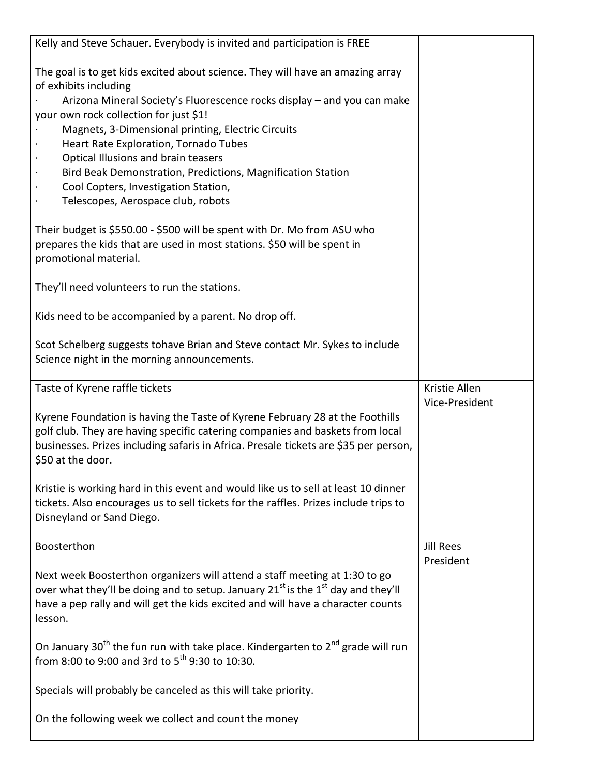| Kelly and Steve Schauer. Everybody is invited and participation is FREE                                                                                  |                                 |
|----------------------------------------------------------------------------------------------------------------------------------------------------------|---------------------------------|
| The goal is to get kids excited about science. They will have an amazing array<br>of exhibits including                                                  |                                 |
| Arizona Mineral Society's Fluorescence rocks display – and you can make                                                                                  |                                 |
| your own rock collection for just \$1!<br>Magnets, 3-Dimensional printing, Electric Circuits                                                             |                                 |
| Heart Rate Exploration, Tornado Tubes                                                                                                                    |                                 |
| Optical Illusions and brain teasers<br>$\bullet$                                                                                                         |                                 |
| Bird Beak Demonstration, Predictions, Magnification Station<br>$\bullet$                                                                                 |                                 |
| Cool Copters, Investigation Station,<br>$\bullet$                                                                                                        |                                 |
| Telescopes, Aerospace club, robots                                                                                                                       |                                 |
| Their budget is \$550.00 - \$500 will be spent with Dr. Mo from ASU who                                                                                  |                                 |
| prepares the kids that are used in most stations. \$50 will be spent in                                                                                  |                                 |
| promotional material.                                                                                                                                    |                                 |
| They'll need volunteers to run the stations.                                                                                                             |                                 |
| Kids need to be accompanied by a parent. No drop off.                                                                                                    |                                 |
| Scot Schelberg suggests tohave Brian and Steve contact Mr. Sykes to include                                                                              |                                 |
| Science night in the morning announcements.                                                                                                              |                                 |
|                                                                                                                                                          |                                 |
| Taste of Kyrene raffle tickets                                                                                                                           | Kristie Allen<br>Vice-President |
| Kyrene Foundation is having the Taste of Kyrene February 28 at the Foothills                                                                             |                                 |
|                                                                                                                                                          |                                 |
| golf club. They are having specific catering companies and baskets from local                                                                            |                                 |
| businesses. Prizes including safaris in Africa. Presale tickets are \$35 per person,                                                                     |                                 |
| \$50 at the door.                                                                                                                                        |                                 |
|                                                                                                                                                          |                                 |
| Kristie is working hard in this event and would like us to sell at least 10 dinner                                                                       |                                 |
| tickets. Also encourages us to sell tickets for the raffles. Prizes include trips to<br>Disneyland or Sand Diego.                                        |                                 |
|                                                                                                                                                          |                                 |
| Boosterthon                                                                                                                                              | <b>Jill Rees</b>                |
| Next week Boosterthon organizers will attend a staff meeting at 1:30 to go                                                                               | President                       |
| over what they'll be doing and to setup. January 21 <sup>st</sup> is the 1 <sup>st</sup> day and they'll                                                 |                                 |
| have a pep rally and will get the kids excited and will have a character counts                                                                          |                                 |
| lesson.                                                                                                                                                  |                                 |
|                                                                                                                                                          |                                 |
| On January 30 <sup>th</sup> the fun run with take place. Kindergarten to $2^{nd}$ grade will run<br>from 8:00 to 9:00 and 3rd to $5^{th}$ 9:30 to 10:30. |                                 |
|                                                                                                                                                          |                                 |
| Specials will probably be canceled as this will take priority.                                                                                           |                                 |
| On the following week we collect and count the money                                                                                                     |                                 |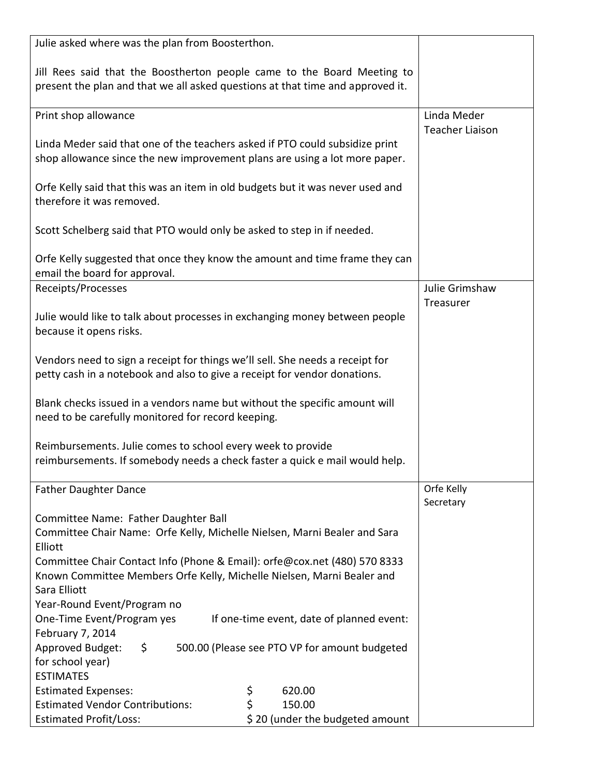| Julie asked where was the plan from Boosterthon.                                                                                                                    |                         |
|---------------------------------------------------------------------------------------------------------------------------------------------------------------------|-------------------------|
| Jill Rees said that the Boostherton people came to the Board Meeting to<br>present the plan and that we all asked questions at that time and approved it.           |                         |
| Print shop allowance                                                                                                                                                | Linda Meder             |
| Linda Meder said that one of the teachers asked if PTO could subsidize print<br>shop allowance since the new improvement plans are using a lot more paper.          | <b>Teacher Liaison</b>  |
| Orfe Kelly said that this was an item in old budgets but it was never used and<br>therefore it was removed.                                                         |                         |
| Scott Schelberg said that PTO would only be asked to step in if needed.                                                                                             |                         |
| Orfe Kelly suggested that once they know the amount and time frame they can<br>email the board for approval.                                                        |                         |
| Receipts/Processes                                                                                                                                                  | Julie Grimshaw          |
| Julie would like to talk about processes in exchanging money between people<br>because it opens risks.                                                              | Treasurer               |
| Vendors need to sign a receipt for things we'll sell. She needs a receipt for<br>petty cash in a notebook and also to give a receipt for vendor donations.          |                         |
| Blank checks issued in a vendors name but without the specific amount will<br>need to be carefully monitored for record keeping.                                    |                         |
| Reimbursements. Julie comes to school every week to provide<br>reimbursements. If somebody needs a check faster a quick e mail would help.                          |                         |
| <b>Father Daughter Dance</b>                                                                                                                                        | Orfe Kelly<br>Secretary |
| Committee Name: Father Daughter Ball                                                                                                                                |                         |
| Committee Chair Name: Orfe Kelly, Michelle Nielsen, Marni Bealer and Sara<br>Elliott                                                                                |                         |
| Committee Chair Contact Info (Phone & Email): orfe@cox.net (480) 570 8333<br>Known Committee Members Orfe Kelly, Michelle Nielsen, Marni Bealer and<br>Sara Elliott |                         |
| Year-Round Event/Program no                                                                                                                                         |                         |
| One-Time Event/Program yes<br>If one-time event, date of planned event:                                                                                             |                         |
| February 7, 2014                                                                                                                                                    |                         |
| Approved Budget:<br>500.00 (Please see PTO VP for amount budgeted<br>$\ddot{\mathsf{S}}$<br>for school year)                                                        |                         |
| <b>ESTIMATES</b>                                                                                                                                                    |                         |
| \$<br><b>Estimated Expenses:</b><br>620.00                                                                                                                          |                         |
| \$<br><b>Estimated Vendor Contributions:</b><br>150.00                                                                                                              |                         |
| \$20 (under the budgeted amount<br><b>Estimated Profit/Loss:</b>                                                                                                    |                         |